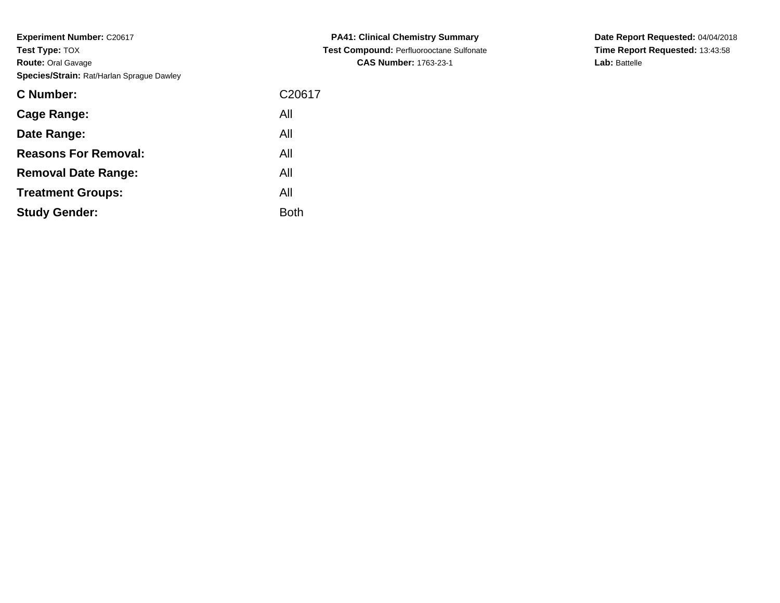| <b>C Number:</b>            | C <sub>20617</sub> |
|-----------------------------|--------------------|
| <b>Cage Range:</b>          | All                |
| Date Range:                 | All                |
| <b>Reasons For Removal:</b> | All                |
| <b>Removal Date Range:</b>  | All                |
| <b>Treatment Groups:</b>    | All                |
| <b>Study Gender:</b>        | <b>Both</b>        |

**PA41: Clinical Chemistry Summary Test Compound:** Perfluorooctane Sulfonate**CAS Number:** 1763-23-1

**Date Report Requested:** 04/04/2018**Time Report Requested:** 13:43:58**Lab:** Battelle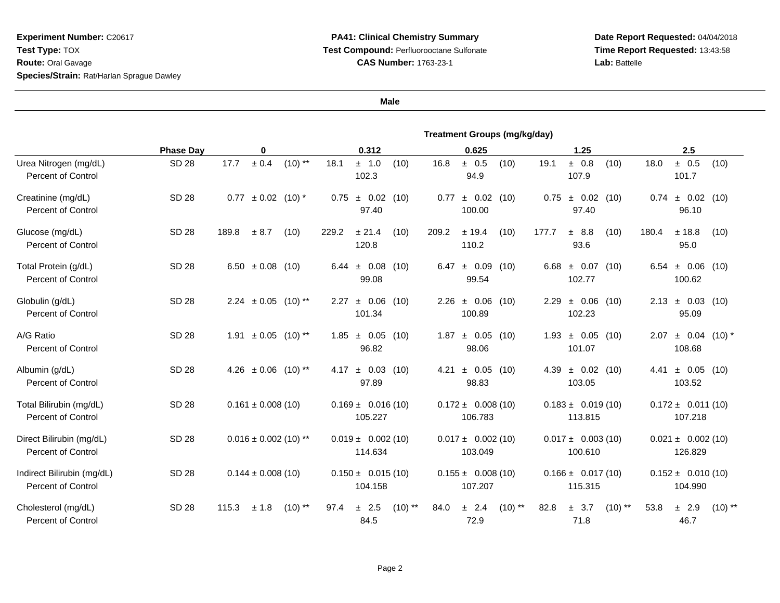## **PA41: Clinical Chemistry Summary Test Compound:** Perfluorooctane Sulfonate**CAS Number:** 1763-23-1

**Date Report Requested:** 04/04/2018**Time Report Requested:** 13:43:58**Lab:** Battelle

|                                                         | <b>Treatment Groups (mg/kg/day)</b> |                                    |                                      |                                    |                                           |                                                |  |  |
|---------------------------------------------------------|-------------------------------------|------------------------------------|--------------------------------------|------------------------------------|-------------------------------------------|------------------------------------------------|--|--|
|                                                         | <b>Phase Day</b>                    | 0                                  | 0.312                                | 0.625                              | 1.25                                      | 2.5                                            |  |  |
| Urea Nitrogen (mg/dL)<br><b>Percent of Control</b>      | <b>SD 28</b>                        | ± 0.4<br>$(10)$ **<br>17.7         | 18.1<br>(10)<br>± 1.0<br>102.3       | ± 0.5<br>(10)<br>16.8<br>94.9      | (10)<br>19.1<br>± 0.8<br>107.9            | 18.0<br>± 0.5<br>(10)<br>101.7                 |  |  |
| Creatinine (mg/dL)<br><b>Percent of Control</b>         | <b>SD 28</b>                        | $0.77 \pm 0.02$ (10) <sup>*</sup>  | ± 0.02<br>(10)<br>0.75<br>97.40      | ± 0.02<br>(10)<br>0.77<br>100.00   | 0.75<br>± 0.02<br>(10)<br>97.40           | $\pm$ 0.02 (10)<br>0.74<br>96.10               |  |  |
| Glucose (mg/dL)<br><b>Percent of Control</b>            | SD 28                               | 189.8<br>± 8.7<br>(10)             | ± 21.4<br>(10)<br>229.2<br>120.8     | 209.2<br>± 19.4<br>(10)<br>110.2   | 177.7<br>(10)<br>± 8.8<br>93.6            | 180.4<br>$±$ 18.8<br>(10)<br>95.0              |  |  |
| Total Protein (g/dL)<br><b>Percent of Control</b>       | SD 28                               | 6.50 $\pm$ 0.08 (10)               | $6.44 \pm 0.08$<br>(10)<br>99.08     | ± 0.09<br>6.47<br>(10)<br>99.54    | $6.68 \pm 0.07$<br>(10)<br>102.77         | $6.54 \pm 0.06$ (10)<br>100.62                 |  |  |
| Globulin (g/dL)<br><b>Percent of Control</b>            | SD 28                               | $2.24 \pm 0.05$ (10) <sup>**</sup> | $2.27 \pm 0.06$<br>(10)<br>101.34    | $2.26 \pm 0.06$<br>(10)<br>100.89  | $2.29 \pm 0.06$<br>(10)<br>102.23         | $2.13 \pm 0.03$ (10)<br>95.09                  |  |  |
| A/G Ratio<br><b>Percent of Control</b>                  | <b>SD 28</b>                        | $\pm$ 0.05 (10) **<br>1.91         | $1.85 \pm 0.05$<br>(10)<br>96.82     | ± 0.05<br>1.87<br>(10)<br>98.06    | $1.93 \pm 0.05$<br>(10)<br>101.07         | $\pm$ 0.04 (10) <sup>*</sup><br>2.07<br>108.68 |  |  |
| Albumin (g/dL)<br><b>Percent of Control</b>             | <b>SD 28</b>                        | 4.26 $\pm$ 0.06 (10) <sup>**</sup> | $4.17 \pm 0.03$ (10)<br>97.89        | $4.21 \pm 0.05$<br>(10)<br>98.83   | $4.39 \pm 0.02$<br>(10)<br>103.05         | $\pm$ 0.05 (10)<br>4.41<br>103.52              |  |  |
| Total Bilirubin (mg/dL)<br><b>Percent of Control</b>    | SD 28                               | $0.161 \pm 0.008(10)$              | $0.169 \pm 0.016(10)$<br>105.227     | $0.172 \pm 0.008(10)$<br>106.783   | $0.183 \pm 0.019(10)$<br>113.815          | $0.172 \pm 0.011(10)$<br>107.218               |  |  |
| Direct Bilirubin (mg/dL)<br><b>Percent of Control</b>   | SD 28                               | $0.016 \pm 0.002$ (10) **          | $0.019 \pm 0.002(10)$<br>114.634     | $0.017 \pm 0.002$ (10)<br>103.049  | $0.017 \pm 0.003(10)$<br>100.610          | $0.021 \pm 0.002$ (10)<br>126.829              |  |  |
| Indirect Bilirubin (mg/dL)<br><b>Percent of Control</b> | SD 28                               | $0.144 \pm 0.008(10)$              | $0.150 \pm 0.015(10)$<br>104.158     | $0.155 \pm 0.008(10)$<br>107.207   | $0.166 \pm 0.017(10)$<br>115.315          | $0.152 \pm 0.010(10)$<br>104.990               |  |  |
| Cholesterol (mg/dL)<br><b>Percent of Control</b>        | <b>SD 28</b>                        | $(10)$ **<br>115.3<br>± 1.8        | $±$ 2.5<br>$(10)$ **<br>97.4<br>84.5 | $(10)$ **<br>84.0<br>± 2.4<br>72.9 | $(10)$ **<br>82.8<br>3.7<br>$\pm$<br>71.8 | $(10)$ **<br>53.8<br>$±$ 2.9<br>46.7           |  |  |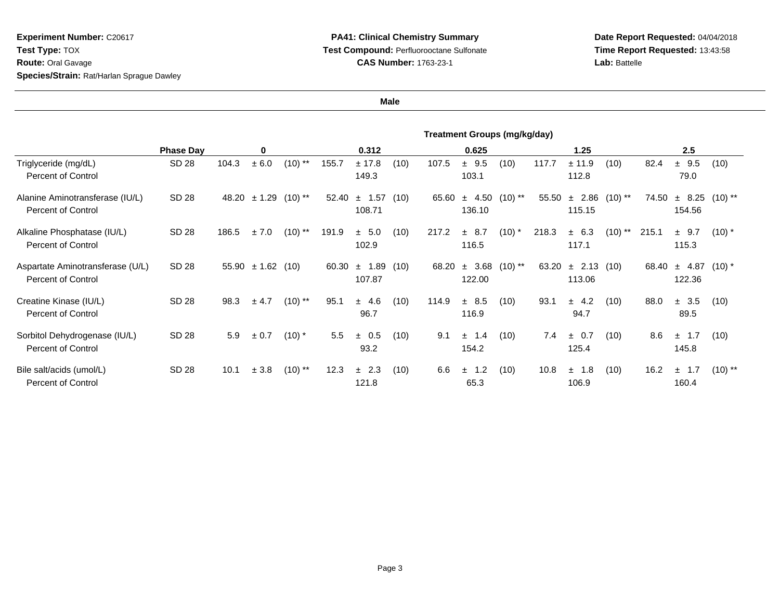**Date Report Requested:** 04/04/2018 **Time Report Requested:** 13:43:58**Lab:** Battelle

|                                                               | <b>Treatment Groups (mg/kg/day)</b> |       |                 |           |       |                    |      |       |                         |           |       |                         |           |       |                            |            |
|---------------------------------------------------------------|-------------------------------------|-------|-----------------|-----------|-------|--------------------|------|-------|-------------------------|-----------|-------|-------------------------|-----------|-------|----------------------------|------------|
|                                                               | <b>Phase Day</b>                    |       | 0               |           |       | 0.312              |      |       | 0.625                   |           |       | 1.25                    |           |       | 2.5                        |            |
| Triglyceride (mg/dL)<br><b>Percent of Control</b>             | SD 28                               | 104.3 | ± 6.0           | $(10)$ ** | 155.7 | ± 17.8<br>149.3    | (10) | 107.5 | $±$ 9.5<br>103.1        | (10)      | 117.7 | ± 11.9<br>112.8         | (10)      | 82.4  | ± 9.5<br>79.0              | (10)       |
| Alanine Aminotransferase (IU/L)<br><b>Percent of Control</b>  | SD 28                               | 48.20 | ± 1.29          | $(10)$ ** | 52.40 | $±$ 1.57<br>108.71 | (10) | 65.60 | 4.50<br>$\pm$<br>136.10 | $(10)$ ** | 55.50 | 2.86<br>$\pm$<br>115.15 | $(10)$ ** | 74.50 | ± 8.25<br>154.56           | $(10)$ **  |
| Alkaline Phosphatase (IU/L)<br><b>Percent of Control</b>      | SD 28                               | 186.5 | ± 7.0           | $(10)$ ** | 191.9 | ± 5.0<br>102.9     | (10) | 217.2 | ± 8.7<br>116.5          | $(10)^*$  | 218.3 | ± 6.3<br>117.1          | $(10)$ ** | 215.1 | $±$ 9.7<br>115.3           | $(10)^{*}$ |
| Aspartate Aminotransferase (U/L)<br><b>Percent of Control</b> | SD 28                               | 55.90 | $\pm 1.62$ (10) |           | 60.30 | ± 1.89<br>107.87   | (10) | 68.20 | 3.68<br>$\pm$<br>122.00 | $(10)$ ** | 63.20 | $\pm$ 2.13<br>113.06    | (10)      | 68.40 | $\pm$ 4.87 (10)*<br>122.36 |            |
| Creatine Kinase (IU/L)<br><b>Percent of Control</b>           | SD 28                               | 98.3  | ± 4.7           | $(10)$ ** | 95.1  | ± 4.6<br>96.7      | (10) | 114.9 | ± 8.5<br>116.9          | (10)      | 93.1  | ± 4.2<br>94.7           | (10)      | 88.0  | ± 3.5<br>89.5              | (10)       |
| Sorbitol Dehydrogenase (IU/L)<br><b>Percent of Control</b>    | SD 28                               | 5.9   | ± 0.7           | $(10)^*$  | 5.5   | $\pm$ 0.5<br>93.2  | (10) | 9.1   | ± 1.4<br>154.2          | (10)      | 7.4   | $\pm$ 0.7<br>125.4      | (10)      | 8.6   | 1.7<br>$\pm$<br>145.8      | (10)       |
| Bile salt/acids (umol/L)<br>Percent of Control                | SD 28                               | 10.1  | ± 3.8           | $(10)$ ** | 12.3  | ± 2.3<br>121.8     | (10) | 6.6   | 1.2<br>$\pm$<br>65.3    | (10)      | 10.8  | ± 1.8<br>106.9          | (10)      | 16.2  | 1.7<br>$\pm$<br>160.4      | $(10)$ **  |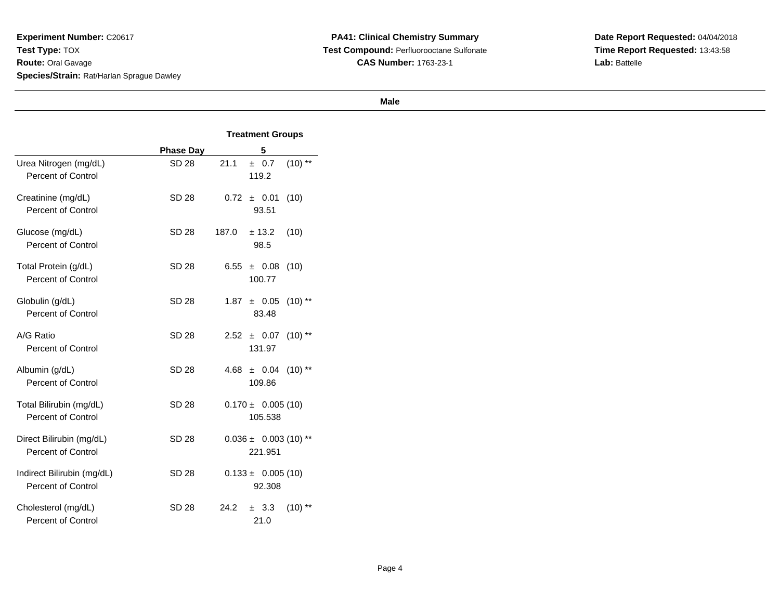**PA41: Clinical Chemistry Summary Test Compound:** Perfluorooctane Sulfonate**CAS Number:** 1763-23-1

**Date Report Requested:** 04/04/2018 **Time Report Requested:** 13:43:58**Lab:** Battelle

|                                                      |                  | <b>Treatment Groups</b>               |  |  |  |
|------------------------------------------------------|------------------|---------------------------------------|--|--|--|
|                                                      | <b>Phase Day</b> | 5                                     |  |  |  |
| Urea Nitrogen (mg/dL)<br>Percent of Control          | SD 28            | $(10)$ **<br>21.1<br>± 0.7<br>119.2   |  |  |  |
| Creatinine (mg/dL)<br><b>Percent of Control</b>      | SD 28            | 0.72<br>(10)<br>± 0.01<br>93.51       |  |  |  |
| Glucose (mg/dL)<br><b>Percent of Control</b>         | SD 28            | 187.0<br>± 13.2<br>(10)<br>98.5       |  |  |  |
| Total Protein (g/dL)<br>Percent of Control           | SD 28            | 6.55<br>(10)<br>± 0.08<br>100.77      |  |  |  |
| Globulin (g/dL)<br><b>Percent of Control</b>         | SD 28            | 1.87<br>± 0.05<br>$(10)$ **<br>83.48  |  |  |  |
| A/G Ratio<br><b>Percent of Control</b>               | SD 28            | 2.52<br>$(10)$ **<br>± 0.07<br>131.97 |  |  |  |
| Albumin (g/dL)<br><b>Percent of Control</b>          | SD 28            | ± 0.04<br>$(10)$ **<br>4.68<br>109.86 |  |  |  |
| Total Bilirubin (mg/dL)<br><b>Percent of Control</b> | SD 28            | $0.170 \pm 0.005(10)$<br>105.538      |  |  |  |
| Direct Bilirubin (mg/dL)<br>Percent of Control       | SD 28            | $0.036 \pm 0.003$ (10) **<br>221.951  |  |  |  |
| Indirect Bilirubin (mg/dL)<br>Percent of Control     | SD 28            | $0.133 \pm 0.005(10)$<br>92.308       |  |  |  |
| Cholesterol (mg/dL)<br>Percent of Control            | SD 28            | 24.2<br>± 3.3<br>$(10)$ **<br>21.0    |  |  |  |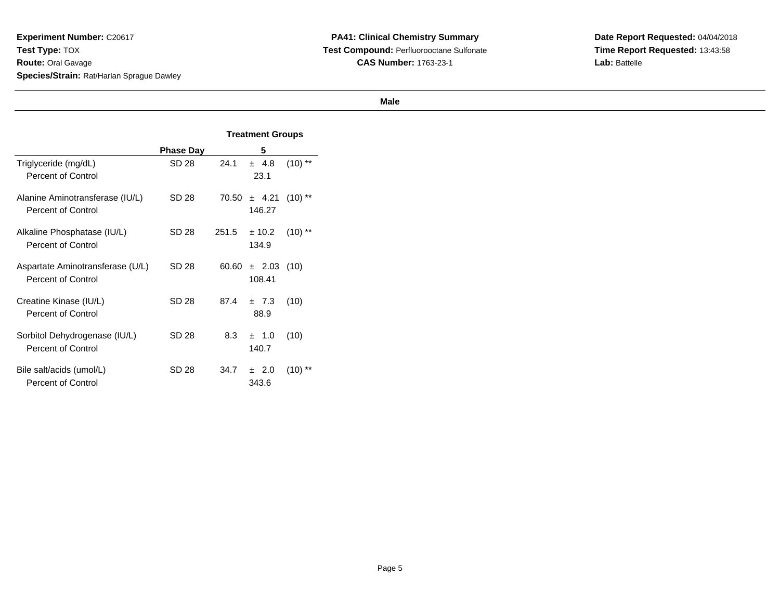**PA41: Clinical Chemistry Summary Test Compound:** Perfluorooctane Sulfonate**CAS Number:** 1763-23-1

**Date Report Requested:** 04/04/2018 **Time Report Requested:** 13:43:58**Lab:** Battelle

|                                                               |                  | <b>Treatment Groups</b> |                           |           |  |
|---------------------------------------------------------------|------------------|-------------------------|---------------------------|-----------|--|
|                                                               | <b>Phase Day</b> |                         | 5                         |           |  |
| Triglyceride (mg/dL)<br>Percent of Control                    | SD 28            | 24.1                    | $\pm$ 4.8<br>23.1         | $(10)$ ** |  |
| Alanine Aminotransferase (IU/L)<br><b>Percent of Control</b>  | SD 28            | 70.50                   | ± 4.21<br>146.27          | $(10)$ ** |  |
| Alkaline Phosphatase (IU/L)<br><b>Percent of Control</b>      | SD 28            | 251.5                   | ± 10.2<br>134.9           | $(10)$ ** |  |
| Aspartate Aminotransferase (U/L)<br><b>Percent of Control</b> | SD 28            | 60.60                   | $\pm$ 2.03 (10)<br>108.41 |           |  |
| Creatine Kinase (IU/L)<br><b>Percent of Control</b>           | SD 28            | 87.4                    | $\pm$ 7.3<br>88.9         | (10)      |  |
| Sorbitol Dehydrogenase (IU/L)<br><b>Percent of Control</b>    | SD 28            | 8.3                     | $\pm$ 1.0<br>140.7        | (10)      |  |
| Bile salt/acids (umol/L)<br><b>Percent of Control</b>         | SD 28            | 34.7                    | $\pm$ 2.0<br>343.6        | (10)      |  |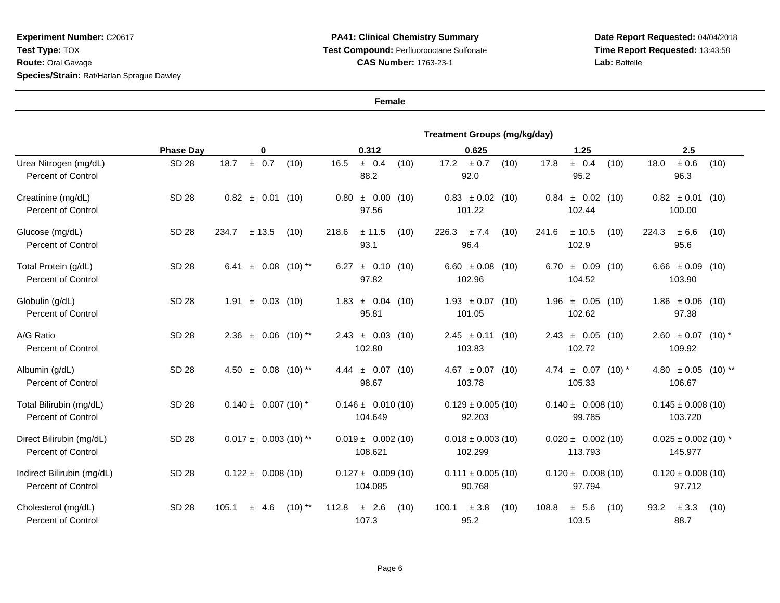## **PA41: Clinical Chemistry Summary Test Compound:** Perfluorooctane Sulfonate**CAS Number:** 1763-23-1

**Date Report Requested:** 04/04/2018 **Time Report Requested:** 13:43:58**Lab:** Battelle

|                                                         |                  | <b>Treatment Groups (mg/kg/day)</b>   |                                   |                                    |                                      |                                             |  |  |  |  |
|---------------------------------------------------------|------------------|---------------------------------------|-----------------------------------|------------------------------------|--------------------------------------|---------------------------------------------|--|--|--|--|
|                                                         | <b>Phase Day</b> | 0                                     | 0.312                             | 0.625                              | 1.25                                 | 2.5                                         |  |  |  |  |
| Urea Nitrogen (mg/dL)<br><b>Percent of Control</b>      | <b>SD 28</b>     | ± 0.7<br>18.7<br>(10)                 | 16.5<br>± 0.4<br>(10)<br>88.2     | 17.2<br>± 0.7<br>(10)<br>92.0      | 17.8<br>± 0.4<br>(10)<br>95.2        | $\pm$ 0.6<br>18.0<br>(10)<br>96.3           |  |  |  |  |
| Creatinine (mg/dL)<br><b>Percent of Control</b>         | <b>SD 28</b>     | $0.82 \pm 0.01$ (10)                  | ± 0.00<br>0.80<br>(10)<br>97.56   | $0.83 \pm 0.02$ (10)<br>101.22     | ± 0.02<br>0.84<br>(10)<br>102.44     | $0.82 \pm 0.01$<br>(10)<br>100.00           |  |  |  |  |
| Glucose (mg/dL)<br><b>Percent of Control</b>            | SD 28            | ± 13.5<br>234.7<br>(10)               | ± 11.5<br>218.6<br>(10)<br>93.1   | $\pm$ 7.4<br>(10)<br>226.3<br>96.4 | 241.6<br>± 10.5<br>(10)<br>102.9     | ± 6.6<br>224.3<br>(10)<br>95.6              |  |  |  |  |
| Total Protein (g/dL)<br><b>Percent of Control</b>       | <b>SD 28</b>     | $\pm$ 0.08 (10) **<br>6.41            | $\pm$ 0.10 (10)<br>6.27<br>97.82  | 6.60 $\pm$ 0.08 (10)<br>102.96     | $6.70 \pm 0.09$<br>(10)<br>104.52    | 6.66 $\pm$ 0.09 (10)<br>103.90              |  |  |  |  |
| Globulin (g/dL)<br><b>Percent of Control</b>            | <b>SD 28</b>     | $\pm$ 0.03 (10)<br>1.91               | $1.83 \pm 0.04$<br>(10)<br>95.81  | $1.93 \pm 0.07$ (10)<br>101.05     | $1.96 \pm 0.05$<br>(10)<br>102.62    | $1.86 \pm 0.06$ (10)<br>97.38               |  |  |  |  |
| A/G Ratio<br><b>Percent of Control</b>                  | <b>SD 28</b>     | $\pm$ 0.06 (10) **<br>2.36            | $2.43 \pm 0.03$<br>(10)<br>102.80 | $2.45 \pm 0.11$ (10)<br>103.83     | $2.43 \pm 0.05$<br>(10)<br>102.72    | $2.60 \pm 0.07$ (10) <sup>*</sup><br>109.92 |  |  |  |  |
| Albumin (g/dL)<br><b>Percent of Control</b>             | <b>SD 28</b>     | $\pm$ 0.08 (10) <sup>**</sup><br>4.50 | $4.44 \pm 0.07$<br>(10)<br>98.67  | $4.67 \pm 0.07$ (10)<br>103.78     | $4.74 \pm 0.07$<br>$(10)*$<br>105.33 | 4.80 $\pm$ 0.05 (10) **<br>106.67           |  |  |  |  |
| Total Bilirubin (mg/dL)<br><b>Percent of Control</b>    | SD 28            | $0.140 \pm 0.007(10)$ *               | $0.146 \pm 0.010(10)$<br>104.649  | $0.129 \pm 0.005$ (10)<br>92.203   | $0.140 \pm 0.008(10)$<br>99.785      | $0.145 \pm 0.008(10)$<br>103.720            |  |  |  |  |
| Direct Bilirubin (mg/dL)<br>Percent of Control          | <b>SD 28</b>     | $0.017 \pm 0.003$ (10) **             | $0.019 \pm 0.002$ (10)<br>108.621 | $0.018 \pm 0.003$ (10)<br>102.299  | $0.020 \pm 0.002(10)$<br>113.793     | $0.025 \pm 0.002$ (10) *<br>145.977         |  |  |  |  |
| Indirect Bilirubin (mg/dL)<br><b>Percent of Control</b> | SD 28            | $0.122 \pm 0.008(10)$                 | $0.127 \pm 0.009(10)$<br>104.085  | $0.111 \pm 0.005$ (10)<br>90.768   | $0.120 \pm 0.008(10)$<br>97.794      | $0.120 \pm 0.008(10)$<br>97.712             |  |  |  |  |
| Cholesterol (mg/dL)<br><b>Percent of Control</b>        | <b>SD 28</b>     | 105.1<br>4.6<br>$(10)$ **<br>±.       | 112.8<br>± 2.6<br>(10)<br>107.3   | $\pm$ 3.8<br>(10)<br>100.1<br>95.2 | 108.8<br>± 5.6<br>(10)<br>103.5      | $\pm$ 3.3<br>93.2<br>(10)<br>88.7           |  |  |  |  |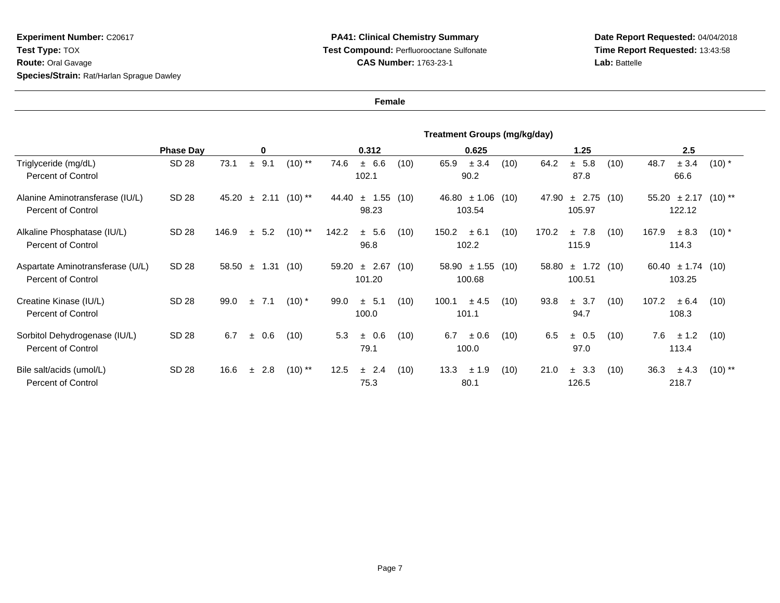**Date Report Requested:** 04/04/2018 **Time Report Requested:** 13:43:58**Lab:** Battelle

|                                                               | Treatment Groups (mg/kg/day) |       |              |                   |                             |                                         |      |                                    |                                         |
|---------------------------------------------------------------|------------------------------|-------|--------------|-------------------|-----------------------------|-----------------------------------------|------|------------------------------------|-----------------------------------------|
|                                                               | <b>Phase Day</b>             |       | 0            |                   | 0.312                       | 0.625                                   |      | 1.25                               | 2.5                                     |
| Triglyceride (mg/dL)<br><b>Percent of Control</b>             | SD 28                        | 73.1  | 9.1<br>$\pm$ | $(10)$ **         | ± 6.6<br>74.6<br>102.1      | 65.9<br>± 3.4<br>(10)<br>90.2           | (10) | 64.2<br>± 5.8<br>(10)<br>87.8      | 48.7<br>± 3.4<br>$(10)$ *<br>66.6       |
| Alanine Aminotransferase (IU/L)<br><b>Percent of Control</b>  | SD 28                        | 45.20 | $\pm$        | $(10)$ **<br>2.11 | 44.40<br>1.55<br>土<br>98.23 | (10)<br>$46.80 \pm 1.06$<br>103.54      | (10) | 47.90<br>± 2.75<br>(10)<br>105.97  | $55.20 \pm 2.17$<br>$(10)$ **<br>122.12 |
| Alkaline Phosphatase (IU/L)<br><b>Percent of Control</b>      | SD 28                        | 146.9 | 5.2<br>$\pm$ | $(10)$ **         | 142.2<br>± 5.6<br>96.8      | (10)<br>150.2<br>± 6.1<br>102.2         | (10) | 170.2<br>±7.8<br>(10)<br>115.9     | 167.9<br>± 8.3<br>$(10)^*$<br>114.3     |
| Aspartate Aminotransferase (U/L)<br><b>Percent of Control</b> | SD 28                        | 58.50 |              | $\pm$ 1.31 (10)   | ± 2.67<br>59.20<br>101.20   | (10)<br>$58.90 \pm 1.55$ (10)<br>100.68 |      | $\pm$ 1.72 (10)<br>58.80<br>100.51 | 60.40 $\pm$ 1.74 (10)<br>103.25         |
| Creatine Kinase (IU/L)<br><b>Percent of Control</b>           | SD 28                        | 99.0  | 7.1<br>$\pm$ | $(10)^*$          | 99.0<br>$\pm$ 5.1<br>100.0  | (10)<br>100.1<br>± 4.5<br>101.1         | (10) | 93.8<br>$\pm$ 3.7<br>(10)<br>94.7  | 107.2<br>± 6.4<br>(10)<br>108.3         |
| Sorbitol Dehydrogenase (IU/L)<br><b>Percent of Control</b>    | SD 28                        | 6.7   | 0.6<br>$\pm$ | (10)              | 5.3<br>± 0.6<br>79.1        | 6.7<br>(10)<br>± 0.6<br>100.0           | (10) | 6.5<br>(10)<br>± 0.5<br>97.0       | 7.6<br>± 1.2<br>(10)<br>113.4           |
| Bile salt/acids (umol/L)<br><b>Percent of Control</b>         | SD 28                        | 16.6  | 2.8<br>$\pm$ | $(10)$ **         | 12.5<br>± 2.4<br>75.3       | (10)<br>13.3<br>± 1.9<br>80.1           | (10) | 21.0<br>3.3<br>(10)<br>土<br>126.5  | 36.3<br>$(10)$ **<br>± 4.3<br>218.7     |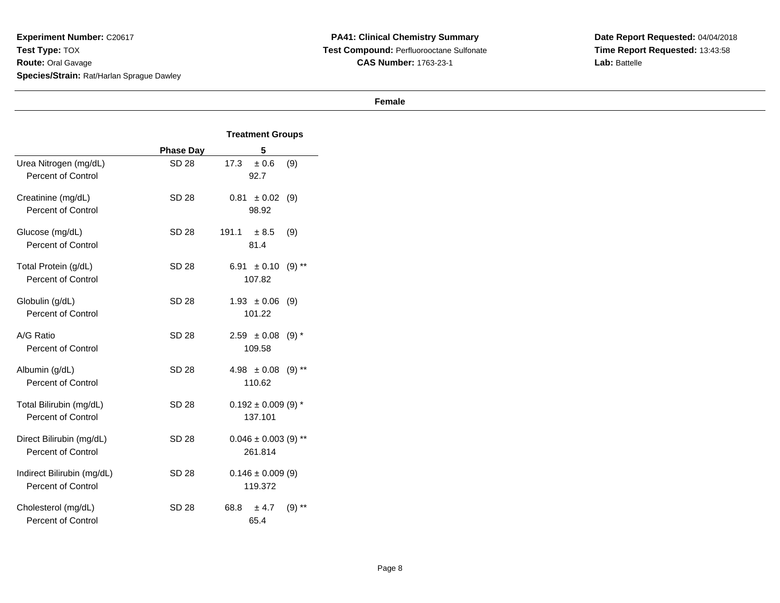**PA41: Clinical Chemistry Summary Test Compound:** Perfluorooctane Sulfonate**CAS Number:** 1763-23-1

**Date Report Requested:** 04/04/2018 **Time Report Requested:** 13:43:58**Lab:** Battelle

|                                                      |                  | <b>Treatment Groups</b>               |  |  |  |
|------------------------------------------------------|------------------|---------------------------------------|--|--|--|
|                                                      | <b>Phase Day</b> | 5                                     |  |  |  |
| Urea Nitrogen (mg/dL)<br><b>Percent of Control</b>   | <b>SD 28</b>     | 17.3<br>± 0.6<br>(9)<br>92.7          |  |  |  |
| Creatinine (mg/dL)<br><b>Percent of Control</b>      | SD 28            | 0.81<br>± 0.02<br>(9)<br>98.92        |  |  |  |
| Glucose (mg/dL)<br><b>Percent of Control</b>         | SD 28            | 191.1<br>± 8.5<br>(9)<br>81.4         |  |  |  |
| Total Protein (g/dL)<br>Percent of Control           | SD 28            | 6.91<br>± 0.10<br>$(9)$ **<br>107.82  |  |  |  |
| Globulin (g/dL)<br>Percent of Control                | <b>SD 28</b>     | $1.93 \pm 0.06$<br>(9)<br>101.22      |  |  |  |
| A/G Ratio<br><b>Percent of Control</b>               | SD 28            | $2.59 \pm 0.08$<br>$(9) *$<br>109.58  |  |  |  |
| Albumin (g/dL)<br><b>Percent of Control</b>          | SD 28            | $4.98 \pm 0.08$<br>$(9)$ **<br>110.62 |  |  |  |
| Total Bilirubin (mg/dL)<br><b>Percent of Control</b> | SD 28            | $0.192 \pm 0.009$ (9) *<br>137.101    |  |  |  |
| Direct Bilirubin (mg/dL)<br>Percent of Control       | SD 28            | $0.046 \pm 0.003$ (9) **<br>261.814   |  |  |  |
| Indirect Bilirubin (mg/dL)<br>Percent of Control     | SD 28            | $0.146 \pm 0.009$ (9)<br>119.372      |  |  |  |
| Cholesterol (mg/dL)<br>Percent of Control            | SD 28            | 68.8<br>± 4.7<br>$(9)$ **<br>65.4     |  |  |  |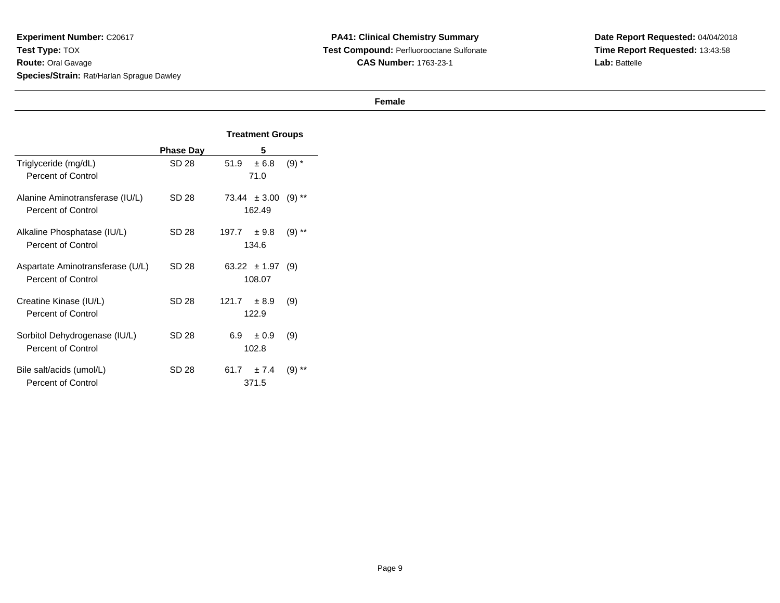**PA41: Clinical Chemistry Summary Test Compound:** Perfluorooctane Sulfonate**CAS Number:** 1763-23-1

**Date Report Requested:** 04/04/2018 **Time Report Requested:** 13:43:58**Lab:** Battelle

|                                  |                  | <b>Treatment Groups</b>        |  |  |
|----------------------------------|------------------|--------------------------------|--|--|
|                                  | <b>Phase Day</b> | 5                              |  |  |
| Triglyceride (mg/dL)             | SD 28            | $(9) *$<br>51.9<br>± 6.8       |  |  |
| Percent of Control               |                  | 71.0                           |  |  |
| Alanine Aminotransferase (IU/L)  | SD 28            | $73.44 \pm 3.00$<br>$(9)$ **   |  |  |
| Percent of Control               |                  | 162.49                         |  |  |
| Alkaline Phosphatase (IU/L)      | SD 28            | 197.7<br>$(9)$ **<br>± 9.8     |  |  |
| Percent of Control               |                  | 134.6                          |  |  |
| Aspartate Aminotransferase (U/L) | SD 28            | $63.22 \pm 1.97$ (9)           |  |  |
| <b>Percent of Control</b>        |                  | 108.07                         |  |  |
| Creatine Kinase (IU/L)           | SD 28            | 121.7<br>± 8.9<br>(9)          |  |  |
| <b>Percent of Control</b>        |                  | 122.9                          |  |  |
| Sorbitol Dehydrogenase (IU/L)    | SD 28            | 6.9<br>± 0.9<br>(9)            |  |  |
| <b>Percent of Control</b>        |                  | 102.8                          |  |  |
| Bile salt/acids (umol/L)         | SD 28            | $61.7 \pm 7.4$<br>$***$<br>(9) |  |  |
| <b>Percent of Control</b>        |                  | 371.5                          |  |  |